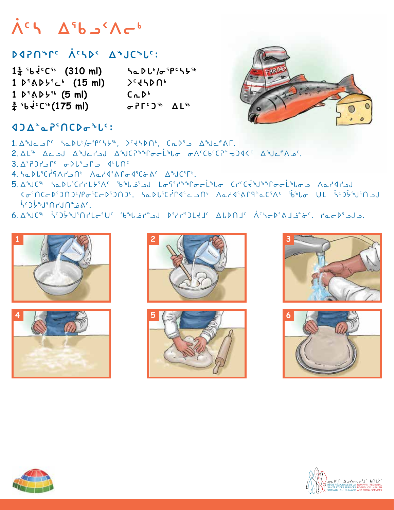## **ᐲᑦᓴ ᐃᖃᓗᑉᐱᓕᒃ**

## **ᐅᐊᕈᑎᖏᑦ ᐲᑦᓴᐅᑉ wabz5:**

 $1\frac{1}{4}$  <sup>5</sup>b  $4^c$ C<sup>56</sup> (310 ml) ዓe D  $L^6/\sigma$ <sup>5</sup> P<sup>c</sup> S 5<sup>56</sup> 1 *D<sup>5</sup>* $\Delta$ *b<sup>5</sup><sub>c</sub><sup>5</sup> (15 ml)* **>**  $\angle$ **5**  $\angle$ **1 s3[s/6 (5 ml) bEs4**  $\frac{3}{4}$  <sup>5</sup>b<sup>ic</sup>C<sup>56</sup> (175 ml) *σ*PΓ<sup>c</sup> )<sup>56</sup> ΔL<sup>56</sup>



### **ᐊgᐃᓐᓇᕈ3tbsiz5:**

- $1. \Delta^4$ Jc  $\Delta^6$  he b  $\sqrt{6}$  fpc s  $\mu$ s<sub>t</sub>  $\Delta^6$ Jc  $\Delta^8$ Jc  $\Delta^8$ Jc  $\Delta^6$ AF.
- 2. AL<sup>S6</sup> Ac was abouted well-belong the control of the CA was a many of the CA was a many of the CA was a many  $\Delta^3$ uchen  $\Delta^4$
- $3. \Delta$ <sup>s</sup> $7. \Delta$ <sup>c</sup>  $\sigma$  $R$
- 4. SQDLSCPSAPSON AQPSSAPGSCGAC ASJCSFS.
- 5. A d C<sup>se</sup> had Lictriching show to the Crice of Crice is to a haddred have a match َذَهِ مِنَ 10ْفَعَامِينَ بِمَا تَجْمِينَ بِهِمْ الْكَلْمُ بِهِيمَا بِهِيمَا مِنْ كَلْمِيمَا بِهِيمَا بِهِيمَ ب ِمۡءُ ∩لµ∩10°لأد¢خ
- 6. Wab3C istymos associations and a statute the case of the cost of the cost of the cost of the cost of the co